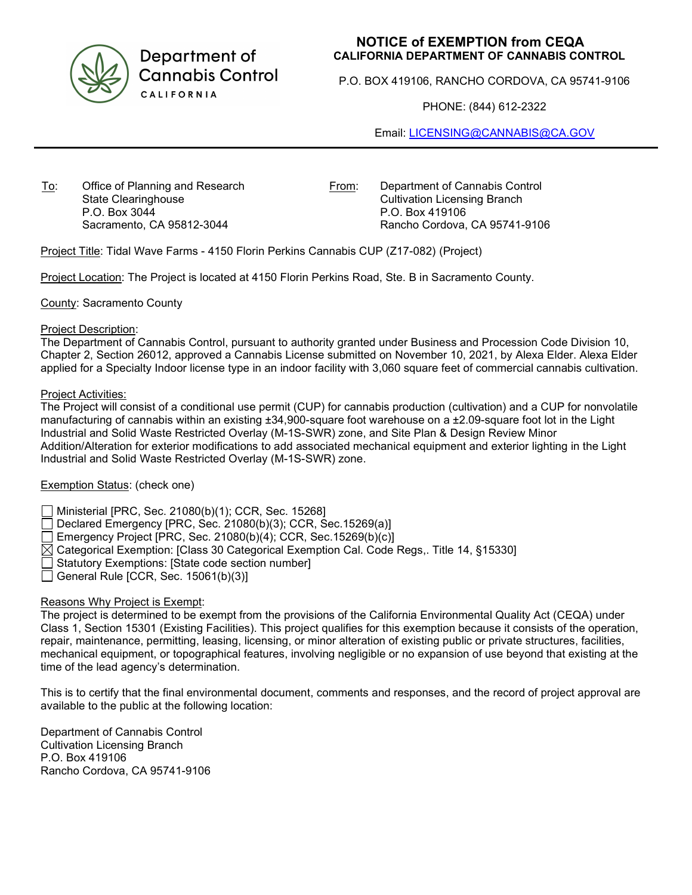

Department of **Cannabis Control CALIFORNIA** 

# NOTICE of EXEMPTION from CEQA CALIFORNIA DEPARTMENT OF CANNABIS CONTROL

P.O. BOX 419106, RANCHO CORDOVA, CA 95741-9106

PHONE: (844) 612-2322

Email: LICENSING@CANNABIS@CA.GOV

To: Office of Planning and Research State Clearinghouse P.O. Box 3044 Sacramento, CA 95812-3044

From: Department of Cannabis Control Cultivation Licensing Branch P.O. Box 419106 Rancho Cordova, CA 95741-9106

Project Title: Tidal Wave Farms - 4150 Florin Perkins Cannabis CUP (Z17-082) (Project)

Project Location: The Project is located at 4150 Florin Perkins Road, Ste. B in Sacramento County.

County: Sacramento County

#### Project Description:

The Department of Cannabis Control, pursuant to authority granted under Business and Procession Code Division 10, Chapter 2, Section 26012, approved a Cannabis License submitted on November 10, 2021, by Alexa Elder. Alexa Elder applied for a Specialty Indoor license type in an indoor facility with 3,060 square feet of commercial cannabis cultivation.

## Project Activities:

The Project will consist of a conditional use permit (CUP) for cannabis production (cultivation) and a CUP for nonvolatile manufacturing of cannabis within an existing ±34,900-square foot warehouse on a ±2.09-square foot lot in the Light Industrial and Solid Waste Restricted Overlay (M-1S-SWR) zone, and Site Plan & Design Review Minor Addition/Alteration for exterior modifications to add associated mechanical equipment and exterior lighting in the Light Industrial and Solid Waste Restricted Overlay (M-1S-SWR) zone.

## Exemption Status: (check one)

Ministerial [PRC, Sec. 21080(b)(1); CCR, Sec. 15268]

Declared Emergency [PRC, Sec. 21080(b)(3); CCR, Sec.15269(a)]

Emergency Project [PRC, Sec. 21080(b)(4); CCR, Sec.15269(b)(c)]

- $\boxtimes$  Categorical Exemption: [Class 30 Categorical Exemption Cal. Code Regs,. Title 14, §15330]
- Statutory Exemptions: [State code section number]
- General Rule [CCR, Sec. 15061(b)(3)]

## Reasons Why Project is Exempt:

The project is determined to be exempt from the provisions of the California Environmental Quality Act (CEQA) under Class 1, Section 15301 (Existing Facilities). This project qualifies for this exemption because it consists of the operation, repair, maintenance, permitting, leasing, licensing, or minor alteration of existing public or private structures, facilities, mechanical equipment, or topographical features, involving negligible or no expansion of use beyond that existing at the time of the lead agency's determination.

This is to certify that the final environmental document, comments and responses, and the record of project approval are available to the public at the following location:

Department of Cannabis Control Cultivation Licensing Branch P.O. Box 419106 Rancho Cordova, CA 95741-9106